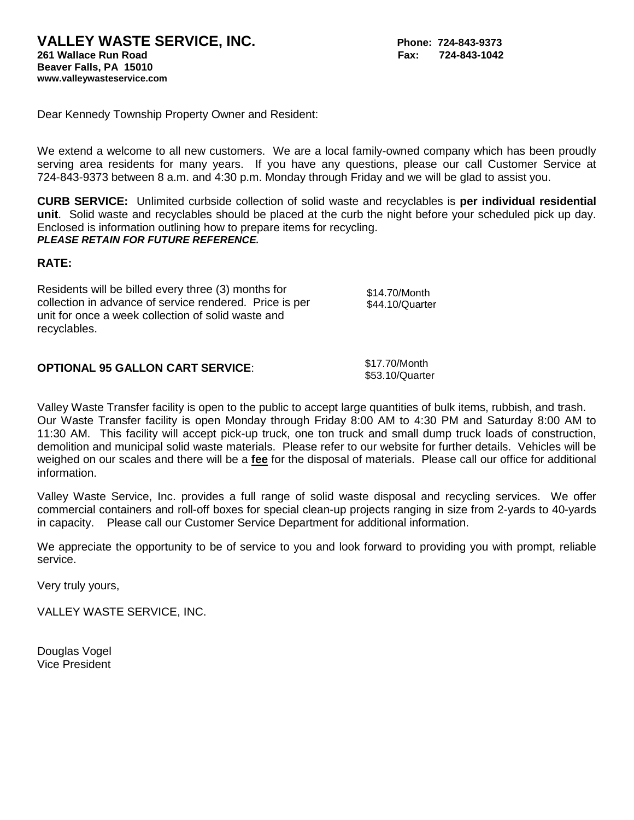Dear Kennedy Township Property Owner and Resident:

We extend a welcome to all new customers. We are a local family-owned company which has been proudly serving area residents for many years. If you have any questions, please our call Customer Service at 724-843-9373 between 8 a.m. and 4:30 p.m. Monday through Friday and we will be glad to assist you.

**CURB SERVICE:** Unlimited curbside collection of solid waste and recyclables is **per individual residential unit**. Solid waste and recyclables should be placed at the curb the night before your scheduled pick up day. Enclosed is information outlining how to prepare items for recycling. *PLEASE RETAIN FOR FUTURE REFERENCE.*

### **RATE:**

| \$14.70/Month<br>collection in advance of service rendered. Price is per<br>\$44.10/Quarter<br>unit for once a week collection of solid waste and<br>recyclables. |
|-------------------------------------------------------------------------------------------------------------------------------------------------------------------|
|-------------------------------------------------------------------------------------------------------------------------------------------------------------------|

| <b>OPTIONAL 95 GALLON CART SERVICE:</b> | \$17.70/Month   |
|-----------------------------------------|-----------------|
|                                         | \$53.10/Quarter |

Valley Waste Transfer facility is open to the public to accept large quantities of bulk items, rubbish, and trash. Our Waste Transfer facility is open Monday through Friday 8:00 AM to 4:30 PM and Saturday 8:00 AM to 11:30 AM. This facility will accept pick-up truck, one ton truck and small dump truck loads of construction, demolition and municipal solid waste materials. Please refer to our website for further details. Vehicles will be weighed on our scales and there will be a **fee** for the disposal of materials. Please call our office for additional information.

Valley Waste Service, Inc. provides a full range of solid waste disposal and recycling services. We offer commercial containers and roll-off boxes for special clean-up projects ranging in size from 2-yards to 40-yards in capacity. Please call our Customer Service Department for additional information.

We appreciate the opportunity to be of service to you and look forward to providing you with prompt, reliable service.

Very truly yours,

VALLEY WASTE SERVICE, INC.

Douglas Vogel Vice President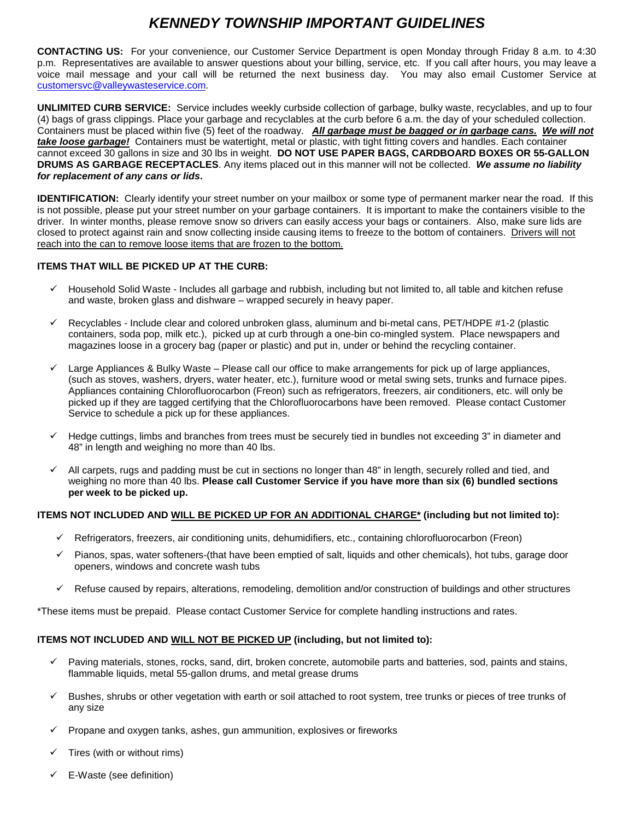# *KENNEDY TOWNSHIP IMPORTANT GUIDELINES*

**CONTACTING US:** For your convenience, our Customer Service Department is open Monday through Friday 8 a.m. to 4:30 p.m. Representatives are available to answer questions about your billing, service, etc. If you call after hours, you may leave a voice mail message and your call will be returned the next business day. You may also email Customer Service at [customersvc@valleywasteservice.com.](mailto:customersvc@valleywasteservice.com)

**UNLIMITED CURB SERVICE:** Service includes weekly curbside collection of garbage, bulky waste, recyclables, and up to four (4) bags of grass clippings. Place your garbage and recyclables at the curb before 6 a.m. the day of your scheduled collection. Containers must be placed within five (5) feet of the roadway. *All garbage must be bagged or in garbage cans. We will not take loose garbage!* Containers must be watertight, metal or plastic, with tight fitting covers and handles. Each container cannot exceed 30 gallons in size and 30 lbs in weight. **DO NOT USE PAPER BAGS, CARDBOARD BOXES OR 55-GALLON DRUMS AS GARBAGE RECEPTACLES**. Any items placed out in this manner will not be collected. *We assume no liability for replacement of any cans or lids***.** 

**IDENTIFICATION:** Clearly identify your street number on your mailbox or some type of permanent marker near the road. If this is not possible, please put your street number on your garbage containers. It is important to make the containers visible to the driver. In winter months, please remove snow so drivers can easily access your bags or containers. Also, make sure lids are closed to protect against rain and snow collecting inside causing items to freeze to the bottom of containers.Drivers will not reach into the can to remove loose items that are frozen to the bottom.

#### **ITEMS THAT WILL BE PICKED UP AT THE CURB:**

- $\checkmark$  Household Solid Waste Includes all garbage and rubbish, including but not limited to, all table and kitchen refuse and waste, broken glass and dishware – wrapped securely in heavy paper.
- $\checkmark$  Recyclables Include clear and colored unbroken glass, aluminum and bi-metal cans, PET/HDPE #1-2 (plastic containers, soda pop, milk etc.), picked up at curb through a one-bin co-mingled system. Place newspapers and magazines loose in a grocery bag (paper or plastic) and put in, under or behind the recycling container.
- $\checkmark$  Large Appliances & Bulky Waste Please call our office to make arrangements for pick up of large appliances, (such as stoves, washers, dryers, water heater, etc.), furniture wood or metal swing sets, trunks and furnace pipes. Appliances containing Chlorofluorocarbon (Freon) such as refrigerators, freezers, air conditioners, etc. will only be picked up if they are tagged certifying that the Chlorofluorocarbons have been removed. Please contact Customer Service to schedule a pick up for these appliances.
- Hedge cuttings, limbs and branches from trees must be securely tied in bundles not exceeding 3" in diameter and 48" in length and weighing no more than 40 lbs.
- All carpets, rugs and padding must be cut in sections no longer than 48" in length, securely rolled and tied, and weighing no more than 40 lbs. **Please call Customer Service if you have more than six (6) bundled sections per week to be picked up.**

#### **ITEMS NOT INCLUDED AND WILL BE PICKED UP FOR AN ADDITIONAL CHARGE\* (including but not limited to):**

- $\checkmark$  Refrigerators, freezers, air conditioning units, dehumidifiers, etc., containing chlorofluorocarbon (Freon)
- $\checkmark$  Pianos, spas, water softeners-(that have been emptied of salt, liquids and other chemicals), hot tubs, garage door openers, windows and concrete wash tubs
- $\checkmark$  Refuse caused by repairs, alterations, remodeling, demolition and/or construction of buildings and other structures

\*These items must be prepaid. Please contact Customer Service for complete handling instructions and rates.

#### **ITEMS NOT INCLUDED AND WILL NOT BE PICKED UP (including, but not limited to):**

- $\checkmark$  Paving materials, stones, rocks, sand, dirt, broken concrete, automobile parts and batteries, sod, paints and stains, flammable liquids, metal 55-gallon drums, and metal grease drums
- $\checkmark$  Bushes, shrubs or other vegetation with earth or soil attached to root system, tree trunks or pieces of tree trunks of any size
- Propane and oxygen tanks, ashes, gun ammunition, explosives or fireworks
- Tires (with or without rims)
- $\checkmark$  E-Waste (see definition)